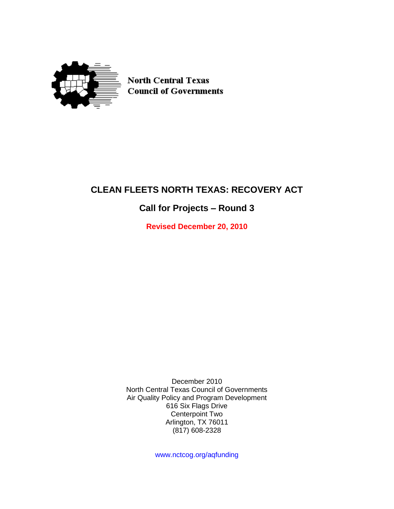

**North Central Texas Council of Governments** 

# **CLEAN FLEETS NORTH TEXAS: RECOVERY ACT**

## **Call for Projects – Round 3**

**Revised December 20, 2010**

December 2010 North Central Texas Council of Governments Air Quality Policy and Program Development 616 Six Flags Drive Centerpoint Two Arlington, TX 76011 (817) 608-2328

www.nctcog.org/aqfunding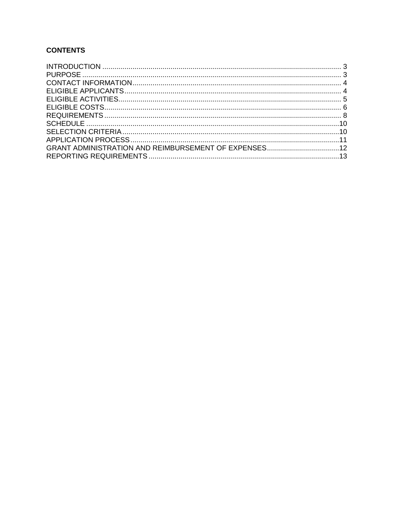## **CONTENTS**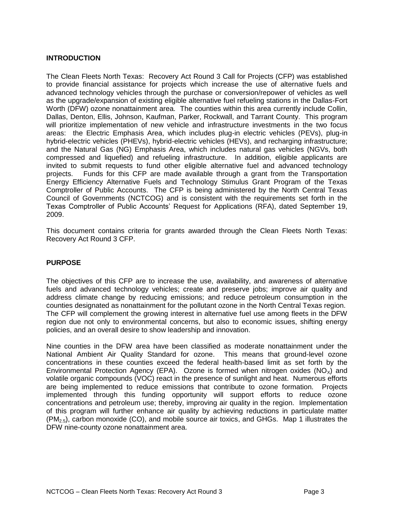## <span id="page-2-0"></span>**INTRODUCTION**

The Clean Fleets North Texas: Recovery Act Round 3 Call for Projects (CFP) was established to provide financial assistance for projects which increase the use of alternative fuels and advanced technology vehicles through the purchase or conversion/repower of vehicles as well as the upgrade/expansion of existing eligible alternative fuel refueling stations in the Dallas-Fort Worth (DFW) ozone nonattainment area. The counties within this area currently include Collin, Dallas, Denton, Ellis, Johnson, Kaufman, Parker, Rockwall, and Tarrant County. This program will prioritize implementation of new vehicle and infrastructure investments in the two focus areas: the Electric Emphasis Area, which includes plug-in electric vehicles (PEVs), plug-in hybrid-electric vehicles (PHEVs), hybrid-electric vehicles (HEVs), and recharging infrastructure; and the Natural Gas (NG) Emphasis Area, which includes natural gas vehicles (NGVs, both compressed and liquefied) and refueling infrastructure. In addition, eligible applicants are invited to submit requests to fund other eligible alternative fuel and advanced technology projects. Funds for this CFP are made available through a grant from the Transportation Energy Efficiency Alternative Fuels and Technology Stimulus Grant Program of the Texas Comptroller of Public Accounts. The CFP is being administered by the North Central Texas Council of Governments (NCTCOG) and is consistent with the requirements set forth in the Texas Comptroller of Public Accounts' Request for Applications (RFA), dated September 19, 2009.

This document contains criteria for grants awarded through the Clean Fleets North Texas: Recovery Act Round 3 CFP.

## <span id="page-2-1"></span>**PURPOSE**

The objectives of this CFP are to increase the use, availability, and awareness of alternative fuels and advanced technology vehicles; create and preserve jobs; improve air quality and address climate change by reducing emissions; and reduce petroleum consumption in the counties designated as nonattainment for the pollutant ozone in the North Central Texas region. The CFP will complement the growing interest in alternative fuel use among fleets in the DFW region due not only to environmental concerns, but also to economic issues, shifting energy policies, and an overall desire to show leadership and innovation.

Nine counties in the DFW area have been classified as moderate nonattainment under the National Ambient Air Quality Standard for ozone. This means that ground-level ozone concentrations in these counties exceed the federal health-based limit as set forth by the Environmental Protection Agency (EPA). Ozone is formed when nitrogen oxides ( $NO<sub>x</sub>$ ) and volatile organic compounds (VOC) react in the presence of sunlight and heat. Numerous efforts are being implemented to reduce emissions that contribute to ozone formation. Projects implemented through this funding opportunity will support efforts to reduce ozone concentrations and petroleum use; thereby, improving air quality in the region. Implementation of this program will further enhance air quality by achieving reductions in particulate matter  $(PM_{2.5})$ , carbon monoxide (CO), and mobile source air toxics, and GHGs. Map 1 illustrates the DFW nine-county ozone nonattainment area.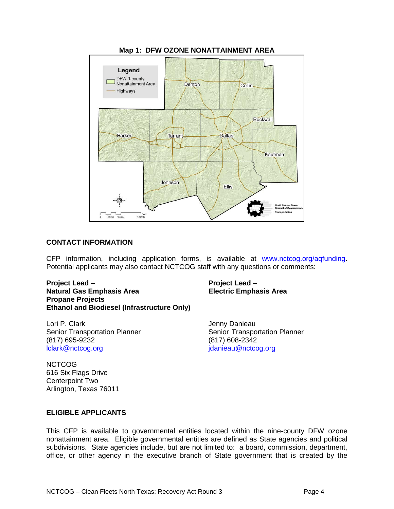

**Map 1: DFW OZONE NONATTAINMENT AREA**

#### <span id="page-3-0"></span>**CONTACT INFORMATION**

CFP information, including application forms, is available at www.nctcog.org/aqfunding. Potential applicants may also contact NCTCOG staff with any questions or comments:

**Project Lead – Project Lead – Natural Gas Emphasis Area Electric Emphasis Area Propane Projects Ethanol and Biodiesel (Infrastructure Only)**

Lori P. Clark **International Community** Contract and *Jenny Danieau* (817) 695-9232 (817) 608-2342 [lclark@nctcog.org](mailto:lclark@nctcog.org) [jdanieau@nctcog.org](mailto:jdanieau@nctcog.org)

Senior Transportation Planner Senior Transportation Planner

**NCTCOG** 616 Six Flags Drive Centerpoint Two Arlington, Texas 76011

#### <span id="page-3-1"></span>**ELIGIBLE APPLICANTS**

This CFP is available to governmental entities located within the nine-county DFW ozone nonattainment area. Eligible governmental entities are defined as State agencies and political subdivisions. State agencies include, but are not limited to: a board, commission, department, office, or other agency in the executive branch of State government that is created by the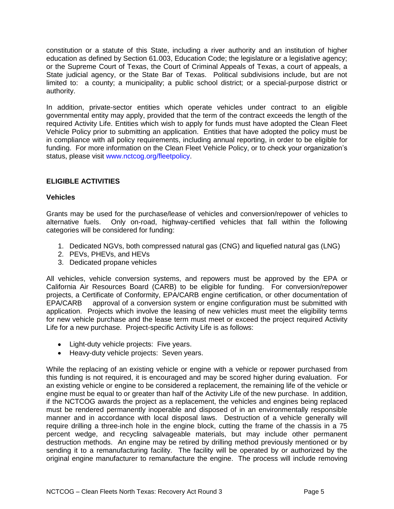constitution or a statute of this State, including a river authority and an institution of higher education as defined by Section 61.003, Education Code; the legislature or a legislative agency; or the Supreme Court of Texas, the Court of Criminal Appeals of Texas, a court of appeals, a State judicial agency, or the State Bar of Texas. Political subdivisions include, but are not limited to: a county; a municipality; a public school district; or a special-purpose district or authority.

In addition, private-sector entities which operate vehicles under contract to an eligible governmental entity may apply, provided that the term of the contract exceeds the length of the required Activity Life. Entities which wish to apply for funds must have adopted the Clean Fleet Vehicle Policy prior to submitting an application. Entities that have adopted the policy must be in compliance with all policy requirements, including annual reporting, in order to be eligible for funding. For more information on the Clean Fleet Vehicle Policy, or to check your organization's status, please visit [www.nctcog.org/fleetpolicy.](http://www.nctcog.org/fleetpolicy)

## <span id="page-4-0"></span>**ELIGIBLE ACTIVITIES**

## **Vehicles**

Grants may be used for the purchase/lease of vehicles and conversion/repower of vehicles to alternative fuels. Only on-road, highway-certified vehicles that fall within the following categories will be considered for funding:

- 1. Dedicated NGVs, both compressed natural gas (CNG) and liquefied natural gas (LNG)
- 2. PEVs, PHEVs, and HEVs
- 3. Dedicated propane vehicles

All vehicles, vehicle conversion systems, and repowers must be approved by the EPA or California Air Resources Board (CARB) to be eligible for funding. For conversion/repower projects, a Certificate of Conformity, EPA/CARB engine certification, or other documentation of EPA/CARB approval of a conversion system or engine configuration must be submitted with application. Projects which involve the leasing of new vehicles must meet the eligibility terms for new vehicle purchase and the lease term must meet or exceed the project required Activity Life for a new purchase. Project-specific Activity Life is as follows:

- Light-duty vehicle projects: Five years.
- Heavy-duty vehicle projects: Seven years.

While the replacing of an existing vehicle or engine with a vehicle or repower purchased from this funding is not required, it is encouraged and may be scored higher during evaluation. For an existing vehicle or engine to be considered a replacement, the remaining life of the vehicle or engine must be equal to or greater than half of the Activity Life of the new purchase. In addition, if the NCTCOG awards the project as a replacement, the vehicles and engines being replaced must be rendered permanently inoperable and disposed of in an environmentally responsible manner and in accordance with local disposal laws. Destruction of a vehicle generally will require drilling a three-inch hole in the engine block, cutting the frame of the chassis in a 75 percent wedge, and recycling salvageable materials, but may include other permanent destruction methods. An engine may be retired by drilling method previously mentioned or by sending it to a remanufacturing facility. The facility will be operated by or authorized by the original engine manufacturer to remanufacture the engine. The process will include removing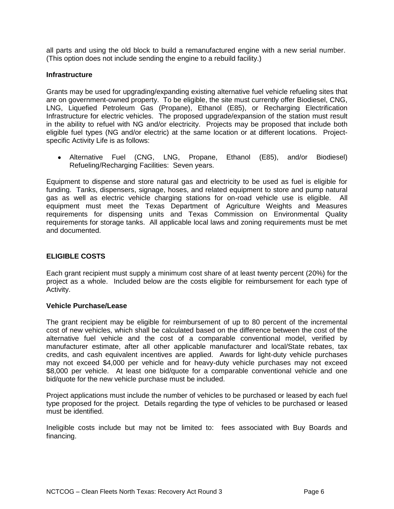all parts and using the old block to build a remanufactured engine with a new serial number. (This option does not include sending the engine to a rebuild facility.)

#### **Infrastructure**

Grants may be used for upgrading/expanding existing alternative fuel vehicle refueling sites that are on government-owned property. To be eligible, the site must currently offer Biodiesel, CNG, LNG, Liquefied Petroleum Gas (Propane), Ethanol (E85), or Recharging Electrification Infrastructure for electric vehicles. The proposed upgrade/expansion of the station must result in the ability to refuel with NG and/or electricity. Projects may be proposed that include both eligible fuel types (NG and/or electric) at the same location or at different locations. Projectspecific Activity Life is as follows:

Alternative Fuel (CNG, LNG, Propane, Ethanol (E85), and/or Biodiesel) Refueling/Recharging Facilities: Seven years.

Equipment to dispense and store natural gas and electricity to be used as fuel is eligible for funding. Tanks, dispensers, signage, hoses, and related equipment to store and pump natural gas as well as electric vehicle charging stations for on-road vehicle use is eligible. All equipment must meet the Texas Department of Agriculture Weights and Measures requirements for dispensing units and Texas Commission on Environmental Quality requirements for storage tanks. All applicable local laws and zoning requirements must be met and documented.

## <span id="page-5-0"></span>**ELIGIBLE COSTS**

Each grant recipient must supply a minimum cost share of at least twenty percent (20%) for the project as a whole. Included below are the costs eligible for reimbursement for each type of Activity.

#### **Vehicle Purchase/Lease**

The grant recipient may be eligible for reimbursement of up to 80 percent of the incremental cost of new vehicles, which shall be calculated based on the difference between the cost of the alternative fuel vehicle and the cost of a comparable conventional model, verified by manufacturer estimate, after all other applicable manufacturer and local/State rebates, tax credits, and cash equivalent incentives are applied. Awards for light-duty vehicle purchases may not exceed \$4,000 per vehicle and for heavy-duty vehicle purchases may not exceed \$8,000 per vehicle. At least one bid/quote for a comparable conventional vehicle and one bid/quote for the new vehicle purchase must be included.

Project applications must include the number of vehicles to be purchased or leased by each fuel type proposed for the project. Details regarding the type of vehicles to be purchased or leased must be identified.

Ineligible costs include but may not be limited to: fees associated with Buy Boards and financing.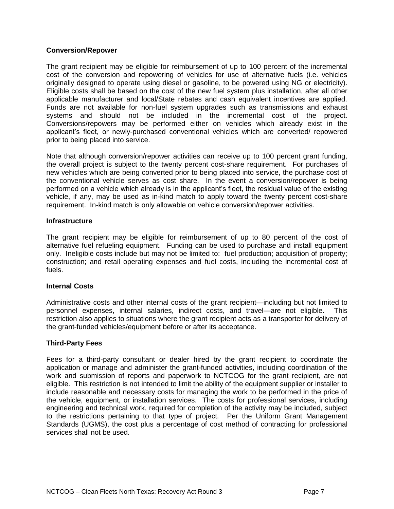### **Conversion/Repower**

The grant recipient may be eligible for reimbursement of up to 100 percent of the incremental cost of the conversion and repowering of vehicles for use of alternative fuels (i.e. vehicles originally designed to operate using diesel or gasoline, to be powered using NG or electricity). Eligible costs shall be based on the cost of the new fuel system plus installation, after all other applicable manufacturer and local/State rebates and cash equivalent incentives are applied. Funds are not available for non-fuel system upgrades such as transmissions and exhaust systems and should not be included in the incremental cost of the project. Conversions/repowers may be performed either on vehicles which already exist in the applicant's fleet, or newly-purchased conventional vehicles which are converted/ repowered prior to being placed into service.

Note that although conversion/repower activities can receive up to 100 percent grant funding, the overall project is subject to the twenty percent cost-share requirement. For purchases of new vehicles which are being converted prior to being placed into service, the purchase cost of the conventional vehicle serves as cost share. In the event a conversion/repower is being performed on a vehicle which already is in the applicant's fleet, the residual value of the existing vehicle, if any, may be used as in-kind match to apply toward the twenty percent cost-share requirement. In-kind match is only allowable on vehicle conversion/repower activities.

#### **Infrastructure**

The grant recipient may be eligible for reimbursement of up to 80 percent of the cost of alternative fuel refueling equipment. Funding can be used to purchase and install equipment only. Ineligible costs include but may not be limited to: fuel production; acquisition of property; construction; and retail operating expenses and fuel costs, including the incremental cost of fuels.

## **Internal Costs**

Administrative costs and other internal costs of the grant recipient—including but not limited to personnel expenses, internal salaries, indirect costs, and travel—are not eligible. This restriction also applies to situations where the grant recipient acts as a transporter for delivery of the grant-funded vehicles/equipment before or after its acceptance.

#### **Third-Party Fees**

Fees for a third-party consultant or dealer hired by the grant recipient to coordinate the application or manage and administer the grant-funded activities, including coordination of the work and submission of reports and paperwork to NCTCOG for the grant recipient, are not eligible. This restriction is not intended to limit the ability of the equipment supplier or installer to include reasonable and necessary costs for managing the work to be performed in the price of the vehicle, equipment, or installation services. The costs for professional services, including engineering and technical work, required for completion of the activity may be included, subject to the restrictions pertaining to that type of project. Per the Uniform Grant Management Standards (UGMS), the cost plus a percentage of cost method of contracting for professional services shall not be used.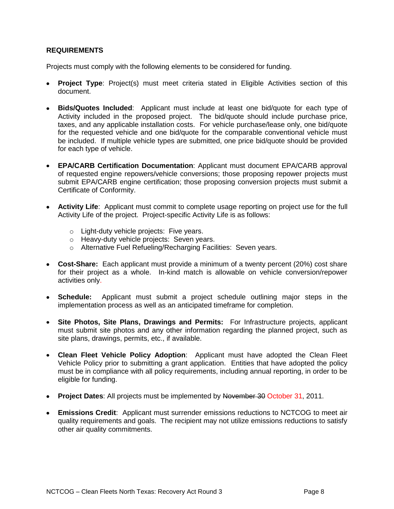## <span id="page-7-0"></span>**REQUIREMENTS**

Projects must comply with the following elements to be considered for funding.

- **Project Type**: Project(s) must meet criteria stated in Eligible Activities section of this document.
- **Bids/Quotes Included**: Applicant must include at least one bid/quote for each type of Activity included in the proposed project. The bid/quote should include purchase price, taxes, and any applicable installation costs. For vehicle purchase/lease only, one bid/quote for the requested vehicle and one bid/quote for the comparable conventional vehicle must be included. If multiple vehicle types are submitted, one price bid/quote should be provided for each type of vehicle.
- **EPA/CARB Certification Documentation**: Applicant must document EPA/CARB approval of requested engine repowers/vehicle conversions; those proposing repower projects must submit EPA/CARB engine certification; those proposing conversion projects must submit a Certificate of Conformity.
- **Activity Life**: Applicant must commit to complete usage reporting on project use for the full Activity Life of the project. Project-specific Activity Life is as follows:
	- o Light-duty vehicle projects: Five years.
	- o Heavy-duty vehicle projects: Seven years.
	- o Alternative Fuel Refueling/Recharging Facilities: Seven years.
- **Cost-Share:** Each applicant must provide a minimum of a twenty percent (20%) cost share for their project as a whole. In-kind match is allowable on vehicle conversion/repower activities only.
- **Schedule:** Applicant must submit a project schedule outlining major steps in the implementation process as well as an anticipated timeframe for completion.
- **Site Photos, Site Plans, Drawings and Permits:** For Infrastructure projects, applicant must submit site photos and any other information regarding the planned project, such as site plans, drawings, permits, etc., if available.
- **Clean Fleet Vehicle Policy Adoption**: Applicant must have adopted the Clean Fleet Vehicle Policy prior to submitting a grant application. Entities that have adopted the policy must be in compliance with all policy requirements, including annual reporting, in order to be eligible for funding.
- **Project Dates:** All projects must be implemented by November 30 October 31, 2011.
- **Emissions Credit**: Applicant must surrender emissions reductions to NCTCOG to meet air quality requirements and goals. The recipient may not utilize emissions reductions to satisfy other air quality commitments.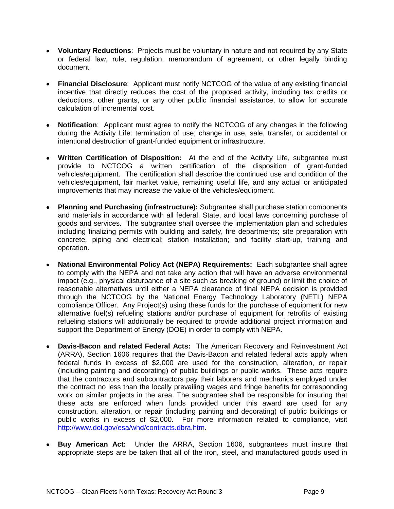- **Voluntary Reductions**: Projects must be voluntary in nature and not required by any State or federal law, rule, regulation, memorandum of agreement, or other legally binding document.
- **Financial Disclosure**: Applicant must notify NCTCOG of the value of any existing financial incentive that directly reduces the cost of the proposed activity, including tax credits or deductions, other grants, or any other public financial assistance, to allow for accurate calculation of incremental cost.
- **Notification**: Applicant must agree to notify the NCTCOG of any changes in the following during the Activity Life: termination of use; change in use, sale, transfer, or accidental or intentional destruction of grant-funded equipment or infrastructure.
- **Written Certification of Disposition:** At the end of the Activity Life, subgrantee must provide to NCTCOG a written certification of the disposition of grant-funded vehicles/equipment. The certification shall describe the continued use and condition of the vehicles/equipment, fair market value, remaining useful life, and any actual or anticipated improvements that may increase the value of the vehicles/equipment.
- **Planning and Purchasing (infrastructure):** Subgrantee shall purchase station components and materials in accordance with all federal, State, and local laws concerning purchase of goods and services. The subgrantee shall oversee the implementation plan and schedules including finalizing permits with building and safety, fire departments; site preparation with concrete, piping and electrical; station installation; and facility start-up, training and operation.
- **National Environmental Policy Act (NEPA) Requirements:** Each subgrantee shall agree to comply with the NEPA and not take any action that will have an adverse environmental impact (e.g., physical disturbance of a site such as breaking of ground) or limit the choice of reasonable alternatives until either a NEPA clearance of final NEPA decision is provided through the NCTCOG by the National Energy Technology Laboratory (NETL) NEPA compliance Officer. Any Project(s) using these funds for the purchase of equipment for new alternative fuel(s) refueling stations and/or purchase of equipment for retrofits of existing refueling stations will additionally be required to provide additional project information and support the Department of Energy (DOE) in order to comply with NEPA.
- **Davis-Bacon and related Federal Acts:** The American Recovery and Reinvestment Act (ARRA), Section 1606 requires that the Davis-Bacon and related federal acts apply when federal funds in excess of \$2,000 are used for the construction, alteration, or repair (including painting and decorating) of public buildings or public works. These acts require that the contractors and subcontractors pay their laborers and mechanics employed under the contract no less than the locally prevailing wages and fringe benefits for corresponding work on similar projects in the area. The subgrantee shall be responsible for insuring that these acts are enforced when funds provided under this award are used for any construction, alteration, or repair (including painting and decorating) of public buildings or public works in excess of \$2,000. For more information related to compliance, visit [http://www.dol.gov/esa/whd/contracts.dbra.htm.](http://www.dol.gov/esa/whd/contracts.dbra.htm)
- **Buy American Act:** Under the ARRA, Section 1606, subgrantees must insure that appropriate steps are be taken that all of the iron, steel, and manufactured goods used in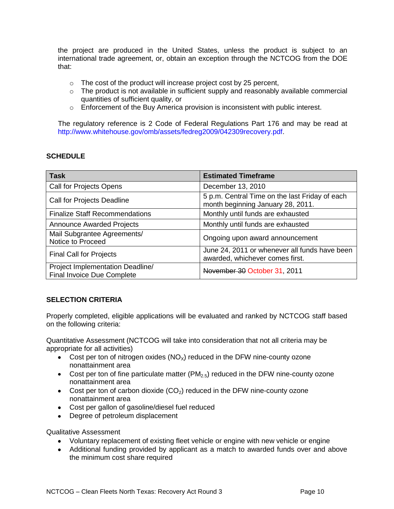the project are produced in the United States, unless the product is subject to an international trade agreement, or, obtain an exception through the NCTCOG from the DOE that:

- $\circ$  The cost of the product will increase project cost by 25 percent,
- $\circ$  The product is not available in sufficient supply and reasonably available commercial quantities of sufficient quality, or
- $\circ$  Enforcement of the Buy America provision is inconsistent with public interest.

The regulatory reference is 2 Code of Federal Regulations Part 176 and may be read at [http://www.whitehouse.gov/omb/assets/fedreg2009/042309recovery.pdf.](http://www.whitehouse.gov/omb/assets/fedreg2009/042309recovery.pdf)

## <span id="page-9-0"></span>**SCHEDULE**

| <b>Task</b>                                                    | <b>Estimated Timeframe</b>                                                          |
|----------------------------------------------------------------|-------------------------------------------------------------------------------------|
| Call for Projects Opens                                        | December 13, 2010                                                                   |
| Call for Projects Deadline                                     | 5 p.m. Central Time on the last Friday of each<br>month beginning January 28, 2011. |
| <b>Finalize Staff Recommendations</b>                          | Monthly until funds are exhausted                                                   |
| <b>Announce Awarded Projects</b>                               | Monthly until funds are exhausted                                                   |
| Mail Subgrantee Agreements/<br>Notice to Proceed               | Ongoing upon award announcement                                                     |
| <b>Final Call for Projects</b>                                 | June 24, 2011 or whenever all funds have been<br>awarded, whichever comes first.    |
| Project Implementation Deadline/<br>Final Invoice Due Complete | November 30 October 31, 2011                                                        |

## <span id="page-9-1"></span>**SELECTION CRITERIA**

Properly completed, eligible applications will be evaluated and ranked by NCTCOG staff based on the following criteria:

Quantitative Assessment (NCTCOG will take into consideration that not all criteria may be appropriate for all activities)

- Cost per ton of nitrogen oxides  $(NO<sub>X</sub>)$  reduced in the DFW nine-county ozone nonattainment area
- Cost per ton of fine particulate matter ( $PM<sub>2.5</sub>$ ) reduced in the DFW nine-county ozone nonattainment area
- Cost per ton of carbon dioxide  $(CO_2)$  reduced in the DFW nine-county ozone nonattainment area
- Cost per gallon of gasoline/diesel fuel reduced
- Degree of petroleum displacement

Qualitative Assessment

- Voluntary replacement of existing fleet vehicle or engine with new vehicle or engine
- Additional funding provided by applicant as a match to awarded funds over and above the minimum cost share required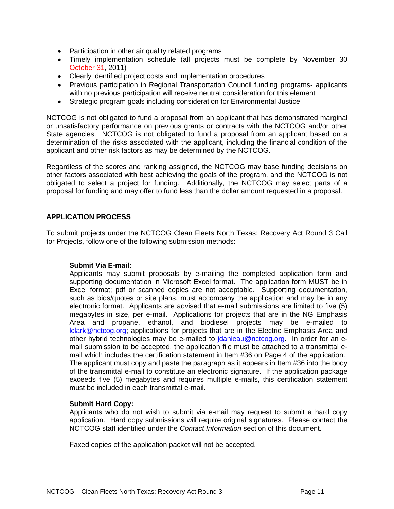- Participation in other air quality related programs
- Timely implementation schedule (all projects must be complete by November 30 October 31, 2011)
- Clearly identified project costs and implementation procedures
- Previous participation in Regional Transportation Council funding programs- applicants with no previous participation will receive neutral consideration for this element
- Strategic program goals including consideration for Environmental Justice

NCTCOG is not obligated to fund a proposal from an applicant that has demonstrated marginal or unsatisfactory performance on previous grants or contracts with the NCTCOG and/or other State agencies. NCTCOG is not obligated to fund a proposal from an applicant based on a determination of the risks associated with the applicant, including the financial condition of the applicant and other risk factors as may be determined by the NCTCOG.

Regardless of the scores and ranking assigned, the NCTCOG may base funding decisions on other factors associated with best achieving the goals of the program, and the NCTCOG is not obligated to select a project for funding. Additionally, the NCTCOG may select parts of a proposal for funding and may offer to fund less than the dollar amount requested in a proposal.

#### <span id="page-10-0"></span>**APPLICATION PROCESS**

To submit projects under the NCTCOG Clean Fleets North Texas: Recovery Act Round 3 Call for Projects, follow one of the following submission methods:

#### **Submit Via E-mail:**

Applicants may submit proposals by e-mailing the completed application form and supporting documentation in Microsoft Excel format. The application form MUST be in Excel format; pdf or scanned copies are not acceptable. Supporting documentation, such as bids/quotes or site plans, must accompany the application and may be in any electronic format. Applicants are advised that e-mail submissions are limited to five (5) megabytes in size, per e-mail. Applications for projects that are in the NG Emphasis Area and propane, ethanol, and biodiesel projects may be e-mailed to [lclark@nctcog.org;](mailto:lclark@nctcog.org) applications for projects that are in the Electric Emphasis Area and other hybrid technologies may be e-mailed to [jdanieau@nctcog.org.](mailto:jdanieau@nctcog.org) In order for an email submission to be accepted, the application file must be attached to a transmittal email which includes the certification statement in Item #36 on Page 4 of the application. The applicant must copy and paste the paragraph as it appears in Item #36 into the body of the transmittal e-mail to constitute an electronic signature. If the application package exceeds five (5) megabytes and requires multiple e-mails, this certification statement must be included in each transmittal e-mail.

#### **Submit Hard Copy:**

Applicants who do not wish to submit via e-mail may request to submit a hard copy application. Hard copy submissions will require original signatures. Please contact the NCTCOG staff identified under the *Contact Information* section of this document.

Faxed copies of the application packet will not be accepted.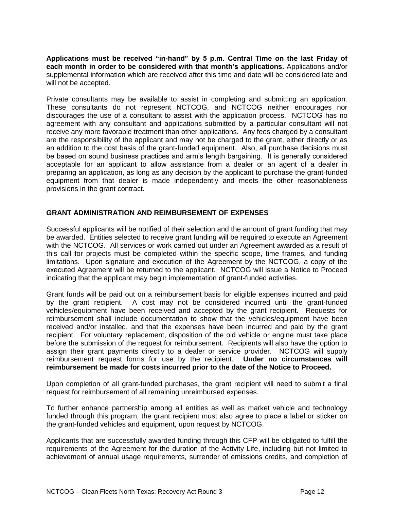**[Applications](http://www.nctcog.org/trans/clean/schoolbus/index.asp?) must be received "in-hand" by 5 p.m. Central Time on the last Friday of each month in order to be considered with that month's applications.** Applications and/or supplemental information which are received after this time and date will be considered late and will not be accepted.

Private consultants may be available to assist in completing and submitting an application. These consultants do not represent NCTCOG, and NCTCOG neither encourages nor discourages the use of a consultant to assist with the application process. NCTCOG has no agreement with any consultant and applications submitted by a particular consultant will not receive any more favorable treatment than other applications. Any fees charged by a consultant are the responsibility of the applicant and may not be charged to the grant, either directly or as an addition to the cost basis of the grant-funded equipment. Also, all purchase decisions must be based on sound business practices and arm's length bargaining. It is generally considered acceptable for an applicant to allow assistance from a dealer or an agent of a dealer in preparing an application, as long as any decision by the applicant to purchase the grant-funded equipment from that dealer is made independently and meets the other reasonableness provisions in the grant contract.

## <span id="page-11-0"></span>**GRANT ADMINISTRATION AND REIMBURSEMENT OF EXPENSES**

Successful applicants will be notified of their selection and the amount of grant funding that may be awarded. Entities selected to receive grant funding will be required to execute an Agreement with the NCTCOG. All services or work carried out under an Agreement awarded as a result of this call for projects must be completed within the specific scope, time frames, and funding limitations. Upon signature and execution of the Agreement by the NCTCOG, a copy of the executed Agreement will be returned to the applicant. NCTCOG will issue a Notice to Proceed indicating that the applicant may begin implementation of grant-funded activities.

Grant funds will be paid out on a reimbursement basis for eligible expenses incurred and paid by the grant recipient. A cost may not be considered incurred until the grant-funded vehicles/equipment have been received and accepted by the grant recipient. Requests for reimbursement shall include documentation to show that the vehicles/equipment have been received and/or installed, and that the expenses have been incurred and paid by the grant recipient. For voluntary replacement, disposition of the old vehicle or engine must take place before the submission of the request for reimbursement. Recipients will also have the option to assign their grant payments directly to a dealer or service provider. NCTCOG will supply reimbursement request forms for use by the recipient. **Under no circumstances will reimbursement be made for costs incurred prior to the date of the Notice to Proceed.**

Upon completion of all grant-funded purchases, the grant recipient will need to submit a final request for reimbursement of all remaining unreimbursed expenses.

To further enhance partnership among all entities as well as market vehicle and technology funded through this program, the grant recipient must also agree to place a label or sticker on the grant-funded vehicles and equipment, upon request by NCTCOG.

Applicants that are successfully awarded funding through this CFP will be obligated to fulfill the requirements of the Agreement for the duration of the Activity Life, including but not limited to achievement of annual usage requirements, surrender of emissions credits, and completion of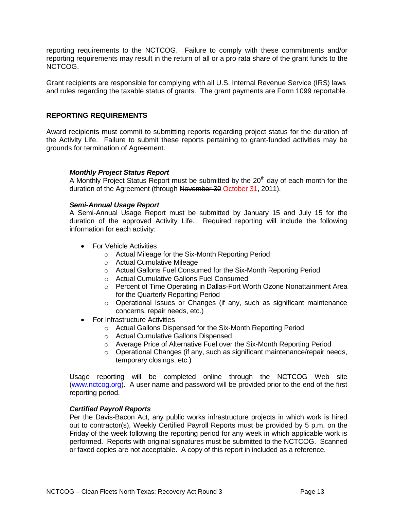reporting requirements to the NCTCOG. Failure to comply with these commitments and/or reporting requirements may result in the return of all or a pro rata share of the grant funds to the NCTCOG.

Grant recipients are responsible for complying with all U.S. Internal Revenue Service (IRS) laws and rules regarding the taxable status of grants. The grant payments are Form 1099 reportable.

#### <span id="page-12-0"></span>**REPORTING REQUIREMENTS**

Award recipients must commit to submitting reports regarding project status for the duration of the Activity Life. Failure to submit these reports pertaining to grant-funded activities may be grounds for termination of Agreement.

#### *Monthly Project Status Report*

A Monthly Project Status Report must be submitted by the  $20<sup>th</sup>$  day of each month for the duration of the Agreement (through November 30 October 31, 2011).

#### *Semi-Annual Usage Report*

A Semi-Annual Usage Report must be submitted by January 15 and July 15 for the duration of the approved Activity Life. Required reporting will include the following information for each activity:

- **•** For Vehicle Activities
	- o Actual Mileage for the Six-Month Reporting Period
	- o Actual Cumulative Mileage
	- o Actual Gallons Fuel Consumed for the Six-Month Reporting Period
	- o Actual Cumulative Gallons Fuel Consumed
	- o Percent of Time Operating in Dallas-Fort Worth Ozone Nonattainment Area for the Quarterly Reporting Period
	- $\circ$  Operational Issues or Changes (if any, such as significant maintenance concerns, repair needs, etc.)
- For Infrastructure Activities
	- o Actual Gallons Dispensed for the Six-Month Reporting Period
	- o Actual Cumulative Gallons Dispensed
	- o Average Price of Alternative Fuel over the Six-Month Reporting Period
	- o Operational Changes (if any, such as significant maintenance/repair needs, temporary closings, etc.)

Usage reporting will be completed online through the NCTCOG Web site [\(www.nctcog.org\)](http://www.nctcog.org/). A user name and password will be provided prior to the end of the first reporting period.

#### *Certified Payroll Reports*

Per the Davis-Bacon Act, any public works infrastructure projects in which work is hired out to contractor(s), Weekly Certified Payroll Reports must be provided by 5 p.m. on the Friday of the week following the reporting period for any week in which applicable work is performed. Reports with original signatures must be submitted to the NCTCOG. Scanned or faxed copies are not acceptable. A copy of this report in included as a reference.